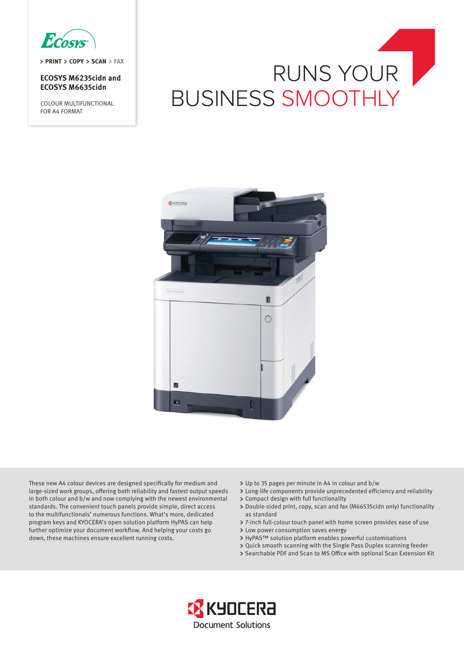

> PRINT > COPY > SCAN > FAX

## **ECOSYS M6235cidn and ECOSYS M6635cidn**

COLOUR MULTIFUNCTIONAL FOR A4 FORMAT

# RUNS YOUR BUSINESS SMOOTHLY



These new A4 colour devices are designed specifically for medium and large-sized work groups, offering both reliability and fastest output speeds in both colour and b/w and now complying with the newest environmental standards. The convenient touch panels provide simple, direct access to the multifunctionals' numerous functions. What's more, dedicated program keys and KYOCERA's open solution platform HyPAS can help further optimize your document workflow. And helping your costs go down, these machines ensure excellent running costs.

- Up to 35 pages per minute in A4 in colour and b/w
- Long-life components provide unprecedented efficiency and reliability
- > Compact design with full functionality
- Double-sided print, copy, scan and fax (M66535cidn only) functionality as standard
- 7-inch full-colour touch panel with home screen provides ease of use
- Low power consumption saves energy
- > HyPAS™ solution platform enables powerful customisations
- Quick smooth scanning with the Single Pass Duplex scanning feeder
- > Searchable PDF and Scan to MS Office with optional Scan Extension Kit